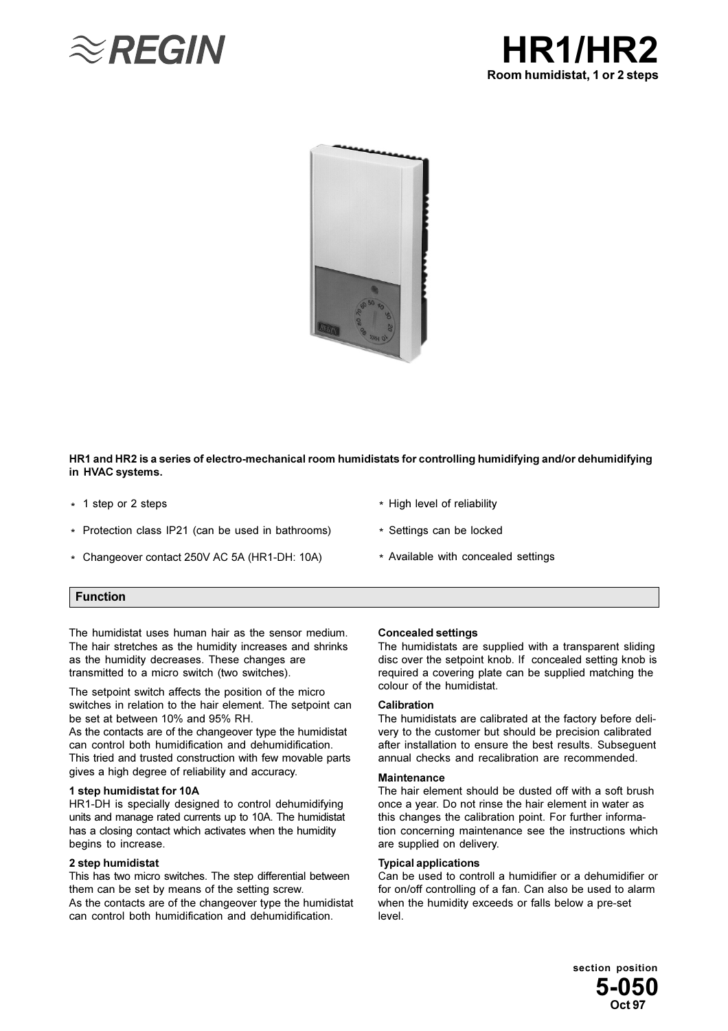





## HR1 and HR2 is a series of electro-mechanical room humidistats for controlling humidifying and/or dehumidifying in HVAC systems.

- \* 1 step or 2 steps
- \* Protection class IP21 (can be used in bathrooms)
- \* Changeover contact 250V AC 5A (HR1-DH: 10A)
- \* High level of reliability
- \* Settings can be locked
- \* Available with concealed settings

## **Function**

The humidistat uses human hair as the sensor medium. The hair stretches as the humidity increases and shrinks as the humidity decreases. These changes are transmitted to a micro switch (two switches).

The setpoint switch affects the position of the micro switches in relation to the hair element. The setpoint can be set at between 10% and 95% RH.

As the contacts are of the changeover type the humidistat can control both humidification and dehumidification. This tried and trusted construction with few movable parts gives a high degree of reliability and accuracy.

#### 1 step humidistat for 10A

HR1-DH is specially designed to control dehumidifying units and manage rated currents up to 10A. The humidistat has a closing contact which activates when the humidity begins to increase.

#### 2 step humidistat

This has two micro switches. The step differential between them can be set by means of the setting screw. As the contacts are of the changeover type the humidistat can control both humidification and dehumidification.

#### **Concealed settings**

The humidistats are supplied with a transparent sliding disc over the setpoint knob. If concealed setting knob is required a covering plate can be supplied matching the colour of the humidistat.

#### Calibration

The humidistats are calibrated at the factory before delivery to the customer but should be precision calibrated after installation to ensure the best results. Subsequent annual checks and recalibration are recommended.

#### **Maintenance**

The hair element should be dusted off with a soft brush once a year. Do not rinse the hair element in water as this changes the calibration point. For further information concerning maintenance see the instructions which are supplied on delivery.

#### **Typical applications**

Can be used to controll a humidifier or a dehumidifier or for on/off controlling of a fan. Can also be used to alarm when the humidity exceeds or falls below a pre-set level